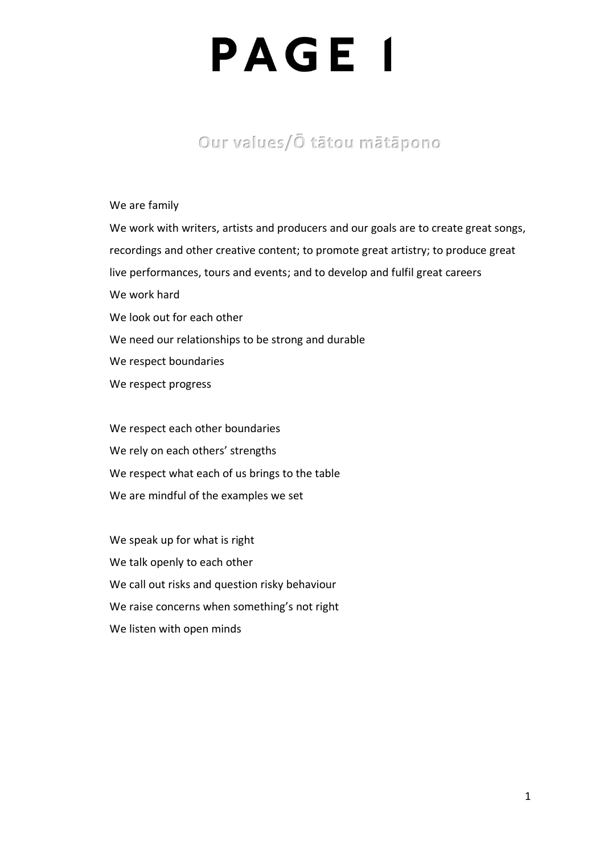### **Our values/Ō tātou mātāpono**

#### We are family

We work with writers, artists and producers and our goals are to create great songs, recordings and other creative content; to promote great artistry; to produce great live performances, tours and events; and to develop and fulfil great careers We work hard We look out for each other We need our relationships to be strong and durable We respect boundaries We respect progress

We respect each other boundaries We rely on each others' strengths We respect what each of us brings to the table We are mindful of the examples we set

We speak up for what is right We talk openly to each other We call out risks and question risky behaviour We raise concerns when something's not right We listen with open minds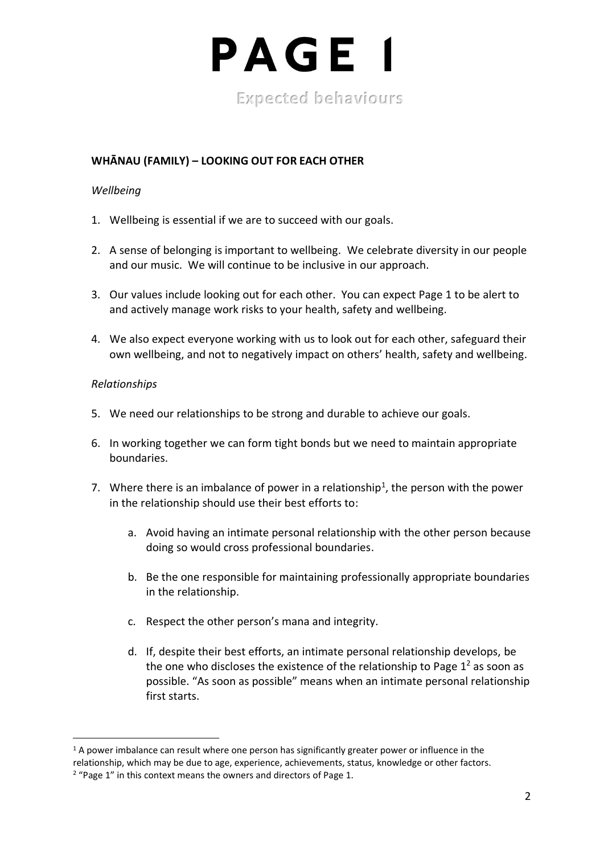

### **WHĀNAU (FAMILY) – LOOKING OUT FOR EACH OTHER**

#### *Wellbeing*

- 1. Wellbeing is essential if we are to succeed with our goals.
- 2. A sense of belonging is important to wellbeing. We celebrate diversity in our people and our music. We will continue to be inclusive in our approach.
- 3. Our values include looking out for each other. You can expect Page 1 to be alert to and actively manage work risks to your health, safety and wellbeing.
- 4. We also expect everyone working with us to look out for each other, safeguard their own wellbeing, and not to negatively impact on others' health, safety and wellbeing.

#### *Relationships*

- 5. We need our relationships to be strong and durable to achieve our goals.
- 6. In working together we can form tight bonds but we need to maintain appropriate boundaries.
- 7. Where there is an imbalance of power in a relationship<sup>1</sup>, the person with the power in the relationship should use their best efforts to:
	- a. Avoid having an intimate personal relationship with the other person because doing so would cross professional boundaries.
	- b. Be the one responsible for maintaining professionally appropriate boundaries in the relationship.
	- c. Respect the other person's mana and integrity.
	- d. If, despite their best efforts, an intimate personal relationship develops, be the one who discloses the existence of the relationship to Page  $1<sup>2</sup>$  as soon as possible. "As soon as possible" means when an intimate personal relationship first starts.

 $1$  A power imbalance can result where one person has significantly greater power or influence in the relationship, which may be due to age, experience, achievements, status, knowledge or other factors.

<sup>&</sup>lt;sup>2</sup> "Page 1" in this context means the owners and directors of Page 1.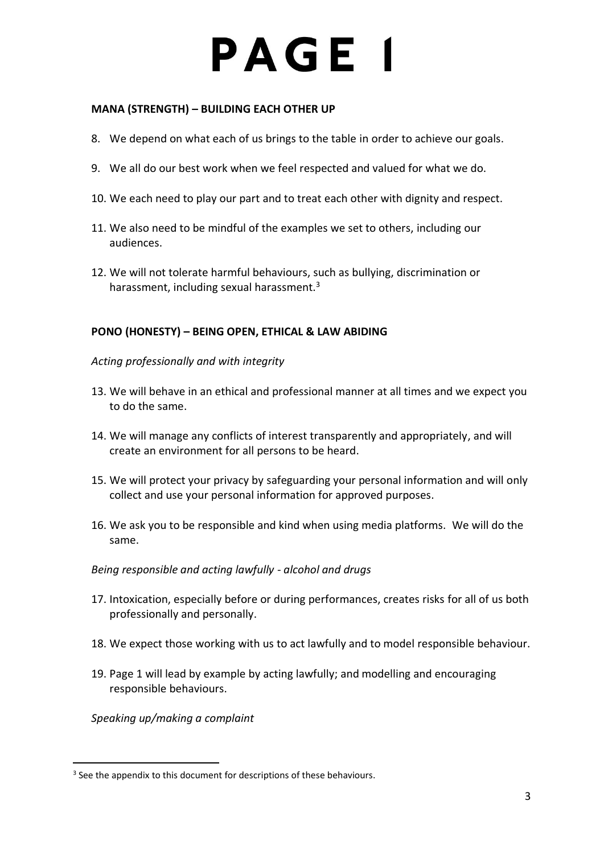#### **MANA (STRENGTH) – BUILDING EACH OTHER UP**

- 8. We depend on what each of us brings to the table in order to achieve our goals.
- 9. We all do our best work when we feel respected and valued for what we do.
- 10. We each need to play our part and to treat each other with dignity and respect.
- 11. We also need to be mindful of the examples we set to others, including our audiences.
- 12. We will not tolerate harmful behaviours, such as bullying, discrimination or harassment, including sexual harassment. $3$

### **PONO (HONESTY) – BEING OPEN, ETHICAL & LAW ABIDING**

*Acting professionally and with integrity*

- 13. We will behave in an ethical and professional manner at all times and we expect you to do the same.
- 14. We will manage any conflicts of interest transparently and appropriately, and will create an environment for all persons to be heard.
- 15. We will protect your privacy by safeguarding your personal information and will only collect and use your personal information for approved purposes.
- 16. We ask you to be responsible and kind when using media platforms. We will do the same.

#### *Being responsible and acting lawfully - alcohol and drugs*

- 17. Intoxication, especially before or during performances, creates risks for all of us both professionally and personally.
- 18. We expect those working with us to act lawfully and to model responsible behaviour.
- 19. Page 1 will lead by example by acting lawfully; and modelling and encouraging responsible behaviours.

*Speaking up/making a complaint*

<sup>&</sup>lt;sup>3</sup> See the appendix to this document for descriptions of these behaviours.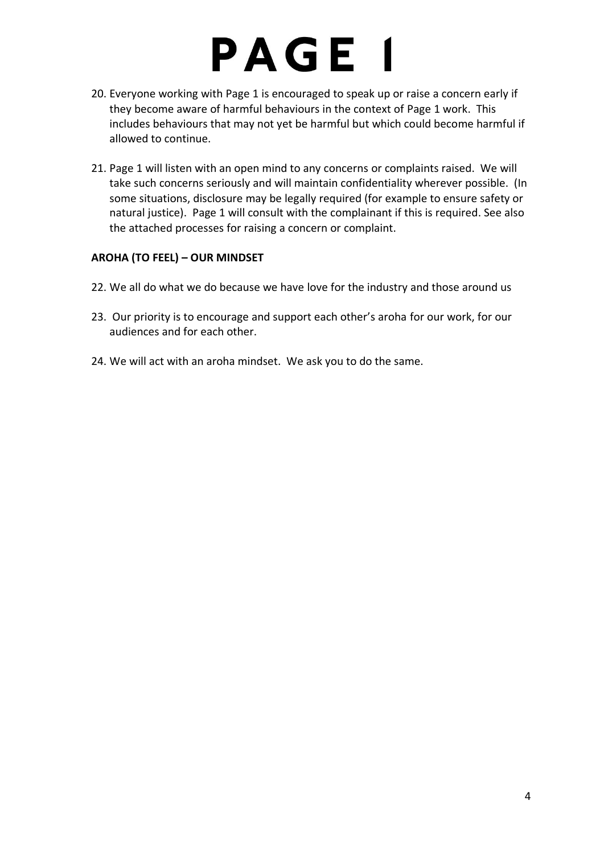- 20. Everyone working with Page 1 is encouraged to speak up or raise a concern early if they become aware of harmful behaviours in the context of Page 1 work. This includes behaviours that may not yet be harmful but which could become harmful if allowed to continue.
- 21. Page 1 will listen with an open mind to any concerns or complaints raised. We will take such concerns seriously and will maintain confidentiality wherever possible. (In some situations, disclosure may be legally required (for example to ensure safety or natural justice). Page 1 will consult with the complainant if this is required. See also the attached processes for raising a concern or complaint.

### **AROHA (TO FEEL) – OUR MINDSET**

- 22. We all do what we do because we have love for the industry and those around us
- 23. Our priority is to encourage and support each other's aroha for our work, for our audiences and for each other.
- 24. We will act with an aroha mindset. We ask you to do the same.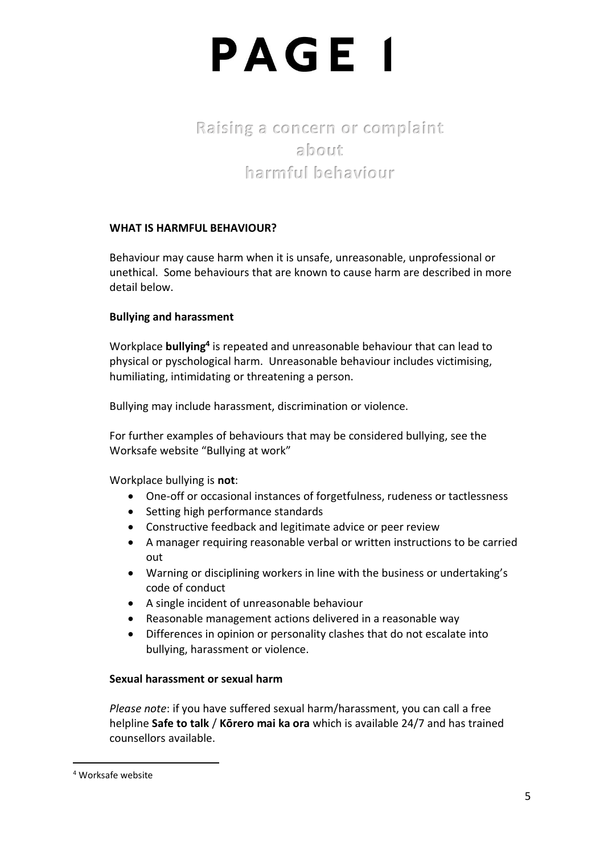## **Raising a concern or complaint about harmful behaviour**

### **WHAT IS HARMFUL BEHAVIOUR?**

Behaviour may cause harm when it is unsafe, unreasonable, unprofessional or unethical. Some behaviours that are known to cause harm are described in more detail below.

### **Bullying and harassment**

Workplace **bullying<sup>4</sup>** is repeated and unreasonable behaviour that can lead to physical or pyschological harm. Unreasonable behaviour includes victimising, humiliating, intimidating or threatening a person.

Bullying may include harassment, discrimination or violence.

For further examples of behaviours that may be considered bullying, see the Worksafe website "Bullying at work"

Workplace bullying is **not**:

- One-off or occasional instances of forgetfulness, rudeness or tactlessness
- Setting high performance standards
- Constructive feedback and legitimate advice or peer review
- A manager requiring reasonable verbal or written instructions to be carried out
- Warning or disciplining workers in line with the business or undertaking's code of conduct
- A single incident of unreasonable behaviour
- Reasonable management actions delivered in a reasonable way
- Differences in opinion or personality clashes that do not escalate into bullying, harassment or violence.

### **Sexual harassment or sexual harm**

*Please note*: if you have suffered sexual harm/harassment, you can call a free helpline **Safe to talk** / **Kōrero mai ka ora** which is available 24/7 and has trained counsellors available.

<sup>4</sup> Worksafe website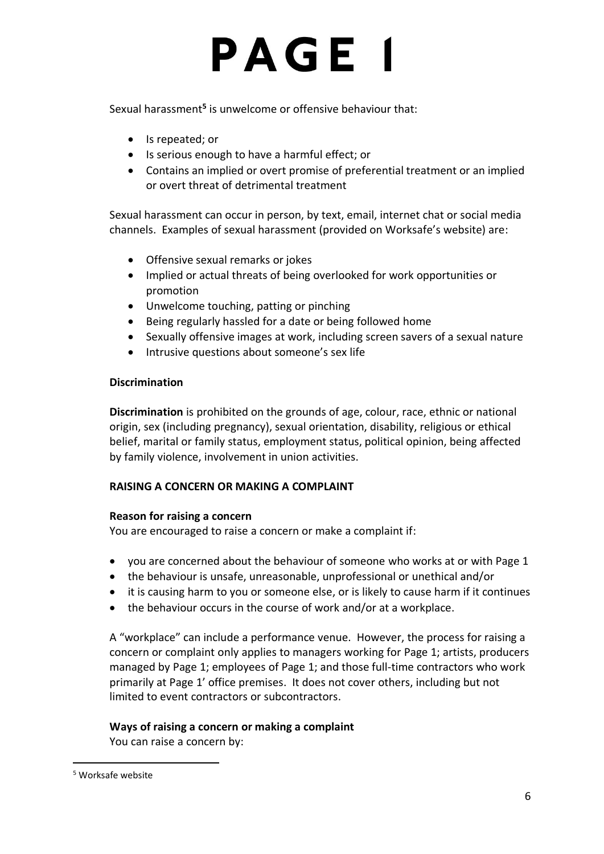Sexual harassment<sup>5</sup> is unwelcome or offensive behaviour that:

- Is repeated; or
- Is serious enough to have a harmful effect; or
- Contains an implied or overt promise of preferential treatment or an implied or overt threat of detrimental treatment

Sexual harassment can occur in person, by text, email, internet chat or social media channels. Examples of sexual harassment (provided on Worksafe's website) are:

- Offensive sexual remarks or jokes
- Implied or actual threats of being overlooked for work opportunities or promotion
- Unwelcome touching, patting or pinching
- Being regularly hassled for a date or being followed home
- Sexually offensive images at work, including screen savers of a sexual nature
- Intrusive questions about someone's sex life

### **Discrimination**

**Discrimination** is prohibited on the grounds of age, colour, race, ethnic or national origin, sex (including pregnancy), sexual orientation, disability, religious or ethical belief, marital or family status, employment status, political opinion, being affected by family violence, involvement in union activities.

### **RAISING A CONCERN OR MAKING A COMPLAINT**

### **Reason for raising a concern**

You are encouraged to raise a concern or make a complaint if:

- you are concerned about the behaviour of someone who works at or with Page 1
- the behaviour is unsafe, unreasonable, unprofessional or unethical and/or
- it is causing harm to you or someone else, or is likely to cause harm if it continues
- the behaviour occurs in the course of work and/or at a workplace.

A "workplace" can include a performance venue. However, the process for raising a concern or complaint only applies to managers working for Page 1; artists, producers managed by Page 1; employees of Page 1; and those full-time contractors who work primarily at Page 1' office premises. It does not cover others, including but not limited to event contractors or subcontractors.

### **Ways of raising a concern or making a complaint**

You can raise a concern by:

<sup>5</sup> Worksafe website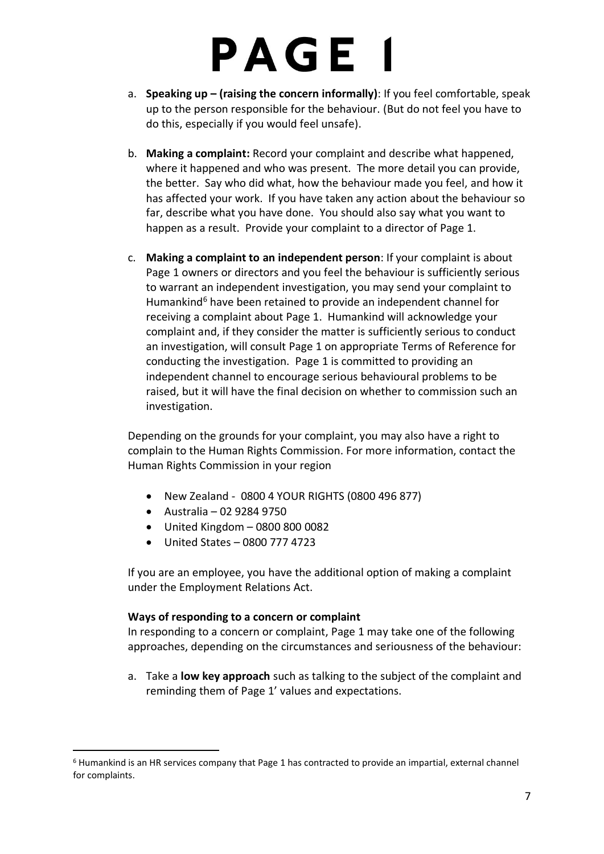- a. **Speaking up – (raising the concern informally)**: If you feel comfortable, speak up to the person responsible for the behaviour. (But do not feel you have to do this, especially if you would feel unsafe).
- b. **Making a complaint:** Record your complaint and describe what happened, where it happened and who was present. The more detail you can provide, the better. Say who did what, how the behaviour made you feel, and how it has affected your work. If you have taken any action about the behaviour so far, describe what you have done. You should also say what you want to happen as a result. Provide your complaint to a director of Page 1.
- c. **Making a complaint to an independent person**: If your complaint is about Page 1 owners or directors and you feel the behaviour is sufficiently serious to warrant an independent investigation, you may send your complaint to Humankind<sup>6</sup> have been retained to provide an independent channel for receiving a complaint about Page 1. Humankind will acknowledge your complaint and, if they consider the matter is sufficiently serious to conduct an investigation, will consult Page 1 on appropriate Terms of Reference for conducting the investigation. Page 1 is committed to providing an independent channel to encourage serious behavioural problems to be raised, but it will have the final decision on whether to commission such an investigation.

Depending on the grounds for your complaint, you may also have a right to complain to the Human Rights Commission. For more information, contact the Human Rights Commission in your region

- New Zealand 0800 4 YOUR RIGHTS (0800 496 877)
- Australia 02 9284 9750
- United Kingdom 0800 800 0082
- United States 0800 777 4723

If you are an employee, you have the additional option of making a complaint under the Employment Relations Act.

#### **Ways of responding to a concern or complaint**

In responding to a concern or complaint, Page 1 may take one of the following approaches, depending on the circumstances and seriousness of the behaviour:

a. Take a **low key approach** such as talking to the subject of the complaint and reminding them of Page 1' values and expectations.

<sup>6</sup> Humankind is an HR services company that Page 1 has contracted to provide an impartial, external channel for complaints.